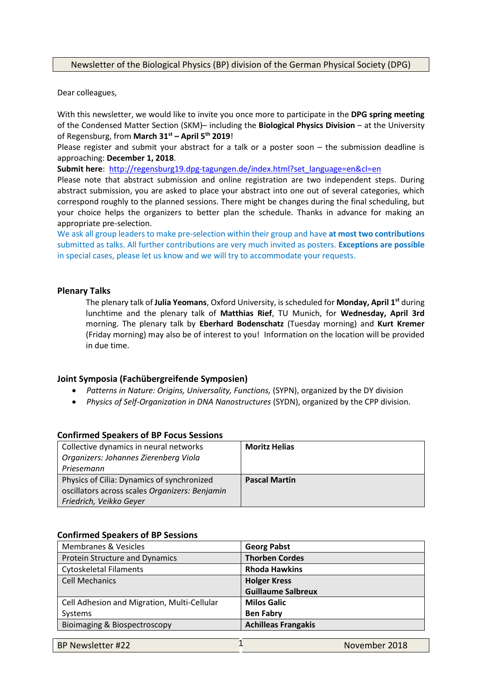# Newsletter of the Biological Physics (BP) division of the German Physical Society (DPG)

Dear colleagues,

With this newsletter, we would like to invite you once more to participate in the **DPG spring meeting**  of the Condensed Matter Section (SKM)– including the **Biological Physics Division** – at the University of Regensburg, from **March 31st – April 5th 2019**!

Please register and submit your abstract for a talk or a poster soon – the submission deadline is approaching: **December 1, 2018**.

**Submit here**: http://regensburg19.dpg-tagungen.de/index.html?set\_language=en&cl=en

Please note that abstract submission and online registration are two independent steps. During abstract submission, you are asked to place your abstract into one out of several categories, which correspond roughly to the planned sessions. There might be changes during the final scheduling, but your choice helps the organizers to better plan the schedule. Thanks in advance for making an appropriate pre-selection.

We ask all group leaders to make pre-selection within their group and have **at most two contributions** submitted as talks. All further contributions are very much invited as posters. **Exceptions are possible** in special cases, please let us know and we will try to accommodate your requests.

# **Plenary Talks**

The plenary talk of **Julia Yeomans**, Oxford University, is scheduled for **Monday, April 1st** during lunchtime and the plenary talk of **Matthias Rief**, TU Munich, for **Wednesday, April 3rd** morning. The plenary talk by **Eberhard Bodenschatz** (Tuesday morning) and **Kurt Kremer** (Friday morning) may also be of interest to you! Information on the location will be provided in due time.

# **Joint Symposia (Fachübergreifende Symposien)**

- *Patterns in Nature: Origins, Universality, Functions,* (SYPN), organized by the DY division
- *Physics of Self-Organization in DNA Nanostructures* (SYDN), organized by the CPP division.

# **Confirmed Speakers of BP Focus Sessions**

| Collective dynamics in neural networks<br>Organizers: Johannes Zierenberg Viola | <b>Moritz Helias</b> |
|---------------------------------------------------------------------------------|----------------------|
| Priesemann                                                                      |                      |
| Physics of Cilia: Dynamics of synchronized                                      | <b>Pascal Martin</b> |
| oscillators across scales Organizers: Benjamin                                  |                      |
| Friedrich, Veikko Geyer                                                         |                      |

### **Confirmed Speakers of BP Sessions**

| <b>Membranes &amp; Vesicles</b>             | <b>Georg Pabst</b>         |
|---------------------------------------------|----------------------------|
| Protein Structure and Dynamics              | <b>Thorben Cordes</b>      |
| <b>Cytoskeletal Filaments</b>               | <b>Rhoda Hawkins</b>       |
| <b>Cell Mechanics</b>                       | <b>Holger Kress</b>        |
|                                             | <b>Guillaume Salbreux</b>  |
| Cell Adhesion and Migration, Multi-Cellular | <b>Milos Galic</b>         |
| Systems                                     | <b>Ben Fabry</b>           |
| Bioimaging & Biospectroscopy                | <b>Achilleas Frangakis</b> |
|                                             |                            |

| BP Newsletter #22 | November 2018 |
|-------------------|---------------|
|-------------------|---------------|